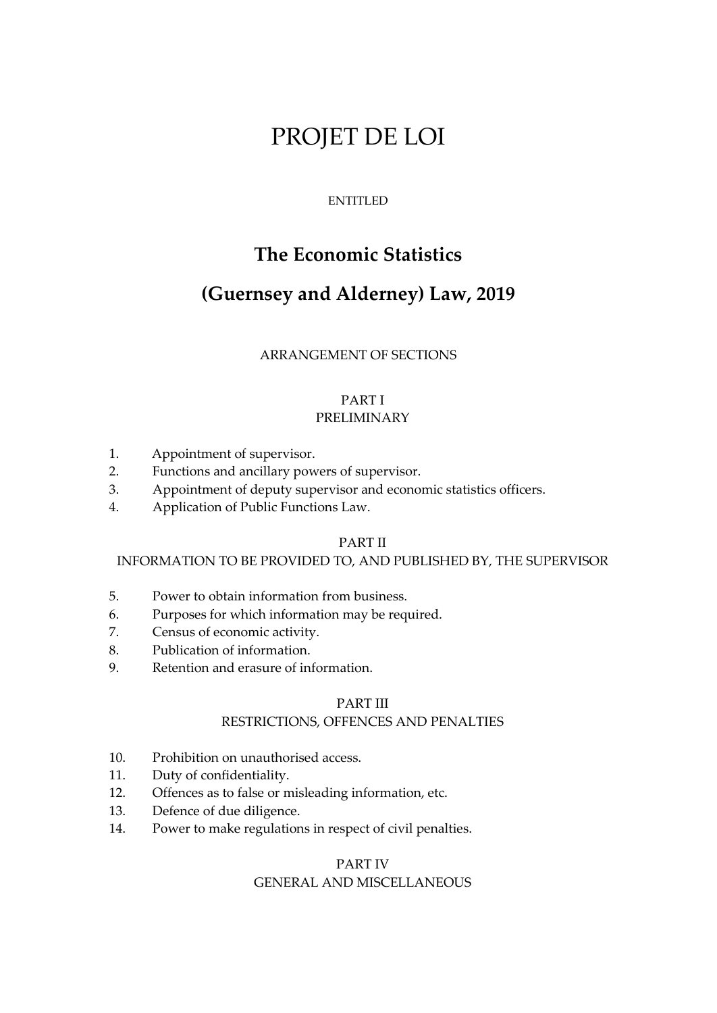# PROJET DE LOI

## ENTITLED

# **The Economic Statistics**

# **(Guernsey and Alderney) Law, 2019**

## ARRANGEMENT OF SECTIONS

#### PART I PRELIMINARY

- 1. Appointment of supervisor.
- 2. Functions and ancillary powers of supervisor.
- 3. Appointment of deputy supervisor and economic statistics officers.
- 4. Application of Public Functions Law.

## PART II

## INFORMATION TO BE PROVIDED TO, AND PUBLISHED BY, THE SUPERVISOR

- 5. Power to obtain information from business.
- 6. Purposes for which information may be required.
- 7. Census of economic activity.
- 8. Publication of information.
- 9. Retention and erasure of information.

## PART III

## RESTRICTIONS, OFFENCES AND PENALTIES

- 10. Prohibition on unauthorised access.
- 11. Duty of confidentiality.
- 12. Offences as to false or misleading information, etc.
- 13. Defence of due diligence.
- 14. Power to make regulations in respect of civil penalties.

## PART IV GENERAL AND MISCELLANEOUS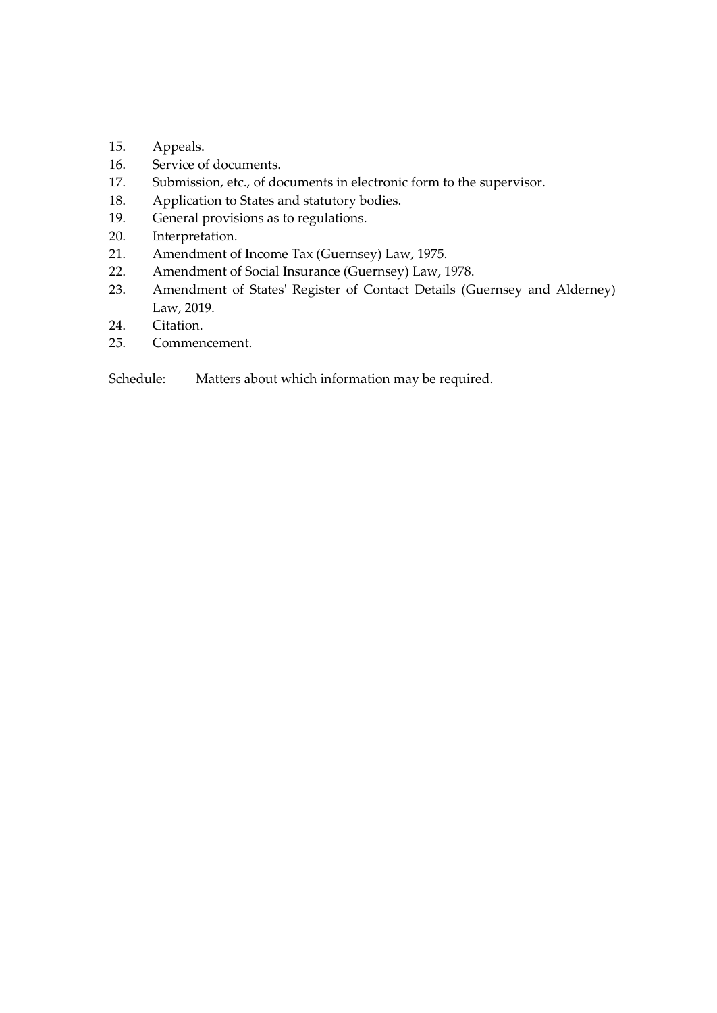- 15. Appeals.
- 16. Service of documents.
- 17. Submission, etc., of documents in electronic form to the supervisor.
- 18. Application to States and statutory bodies.
- 19. General provisions as to regulations.
- 20. Interpretation.
- 21. Amendment of Income Tax (Guernsey) Law, 1975.
- 22. Amendment of Social Insurance (Guernsey) Law, 1978.
- 23. Amendment of States' Register of Contact Details (Guernsey and Alderney) Law, 2019.
- 24. Citation.
- 25. Commencement.

Schedule: Matters about which information may be required.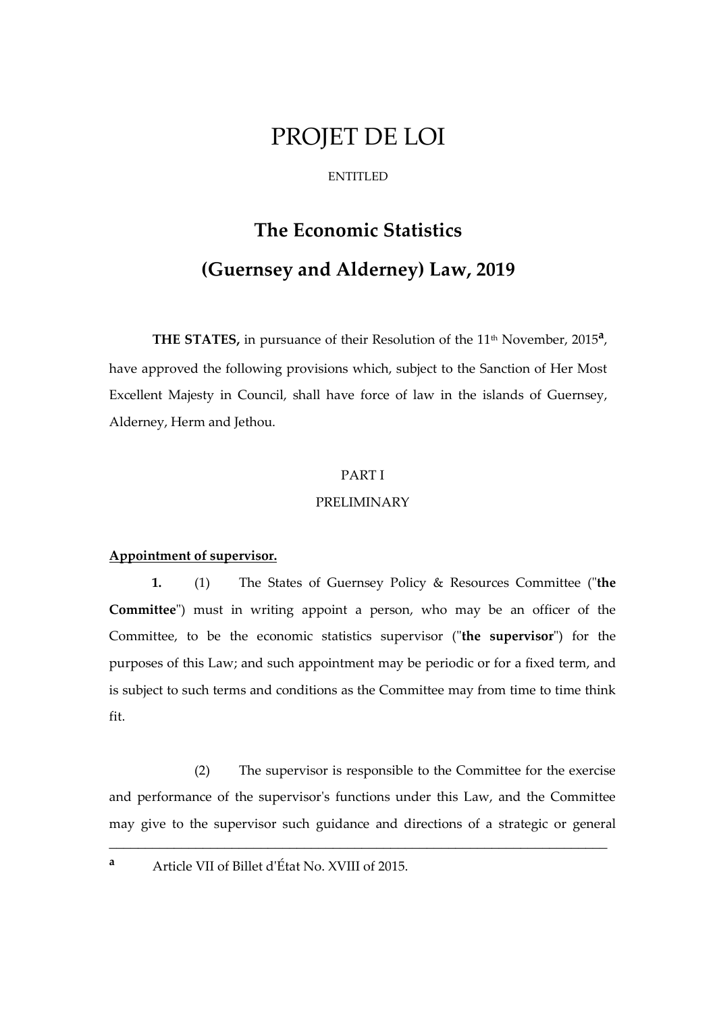# PROJET DE LOI

#### ENTITLED

# **The Economic Statistics (Guernsey and Alderney) Law, 2019**

THE STATES, in pursuance of their Resolution of the 11<sup>th</sup> November, 2015<sup>a</sup>, have approved the following provisions which, subject to the Sanction of Her Most Excellent Majesty in Council, shall have force of law in the islands of Guernsey, Alderney, Herm and Jethou.

#### PART I

#### PRELIMINARY

## **Appointment of supervisor.**

**1.** (1) The States of Guernsey Policy & Resources Committee ("**the Committee**") must in writing appoint a person, who may be an officer of the Committee, to be the economic statistics supervisor ("**the supervisor**") for the purposes of this Law; and such appointment may be periodic or for a fixed term, and is subject to such terms and conditions as the Committee may from time to time think fit.

(2) The supervisor is responsible to the Committee for the exercise and performance of the supervisor's functions under this Law, and the Committee may give to the supervisor such guidance and directions of a strategic or general

\_\_\_\_\_\_\_\_\_\_\_\_\_\_\_\_\_\_\_\_\_\_\_\_\_\_\_\_\_\_\_\_\_\_\_\_\_\_\_\_\_\_\_\_\_\_\_\_\_\_\_\_\_\_\_\_\_\_\_\_\_\_\_\_\_\_\_\_\_

**<sup>a</sup>** Article VII of Billet d'État No. XVIII of 2015.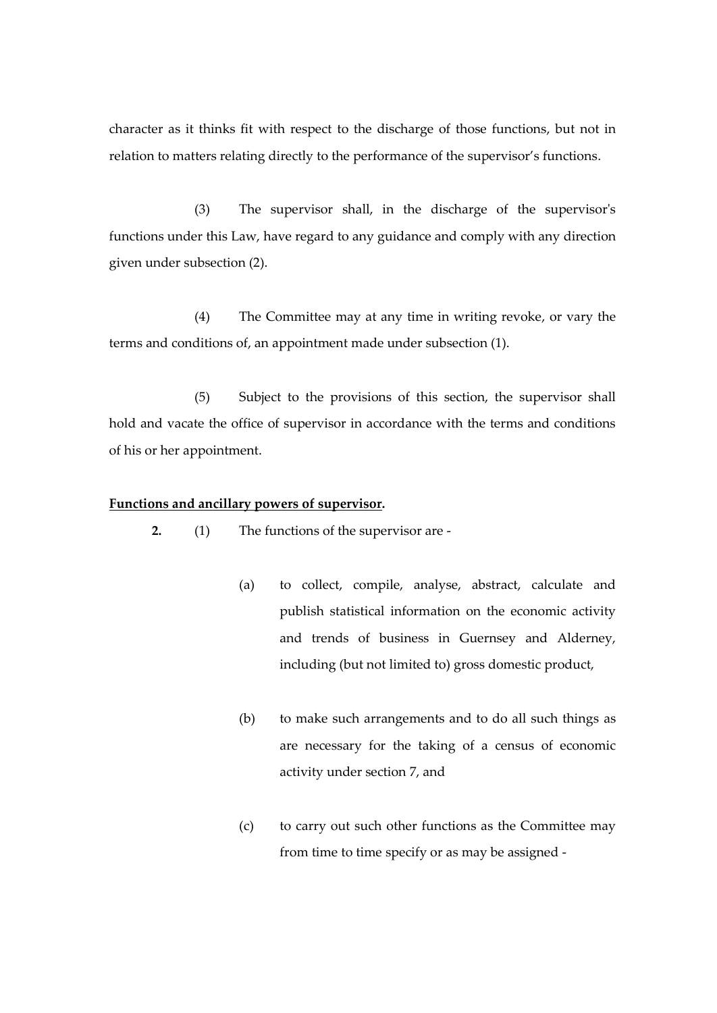character as it thinks fit with respect to the discharge of those functions, but not in relation to matters relating directly to the performance of the supervisor's functions.

(3) The supervisor shall, in the discharge of the supervisor's functions under this Law, have regard to any guidance and comply with any direction given under subsection (2).

(4) The Committee may at any time in writing revoke, or vary the terms and conditions of, an appointment made under subsection (1).

(5) Subject to the provisions of this section, the supervisor shall hold and vacate the office of supervisor in accordance with the terms and conditions of his or her appointment.

#### **Functions and ancillary powers of supervisor.**

**2.** (1) The functions of the supervisor are -

- (a) to collect, compile, analyse, abstract, calculate and publish statistical information on the economic activity and trends of business in Guernsey and Alderney, including (but not limited to) gross domestic product,
- (b) to make such arrangements and to do all such things as are necessary for the taking of a census of economic activity under section 7, and
- (c) to carry out such other functions as the Committee may from time to time specify or as may be assigned -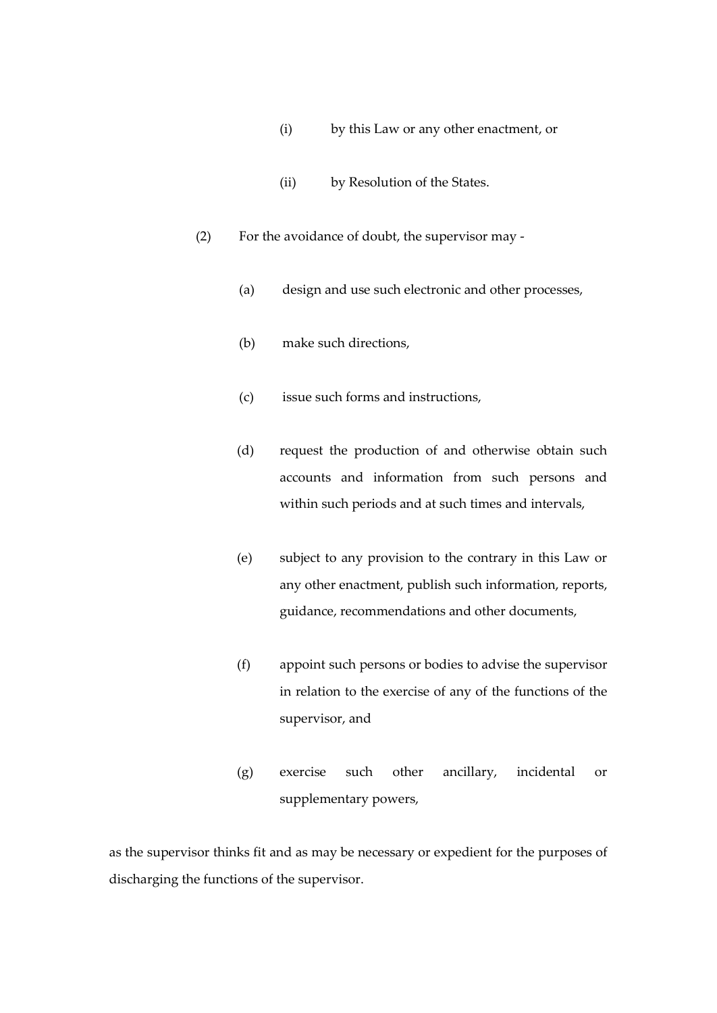- (i) by this Law or any other enactment, or
- (ii) by Resolution of the States.
- (2) For the avoidance of doubt, the supervisor may
	- (a) design and use such electronic and other processes,
	- (b) make such directions,
	- (c) issue such forms and instructions,
	- (d) request the production of and otherwise obtain such accounts and information from such persons and within such periods and at such times and intervals,
	- (e) subject to any provision to the contrary in this Law or any other enactment, publish such information, reports, guidance, recommendations and other documents,
	- (f) appoint such persons or bodies to advise the supervisor in relation to the exercise of any of the functions of the supervisor, and
	- (g) exercise such other ancillary, incidental or supplementary powers,

as the supervisor thinks fit and as may be necessary or expedient for the purposes of discharging the functions of the supervisor.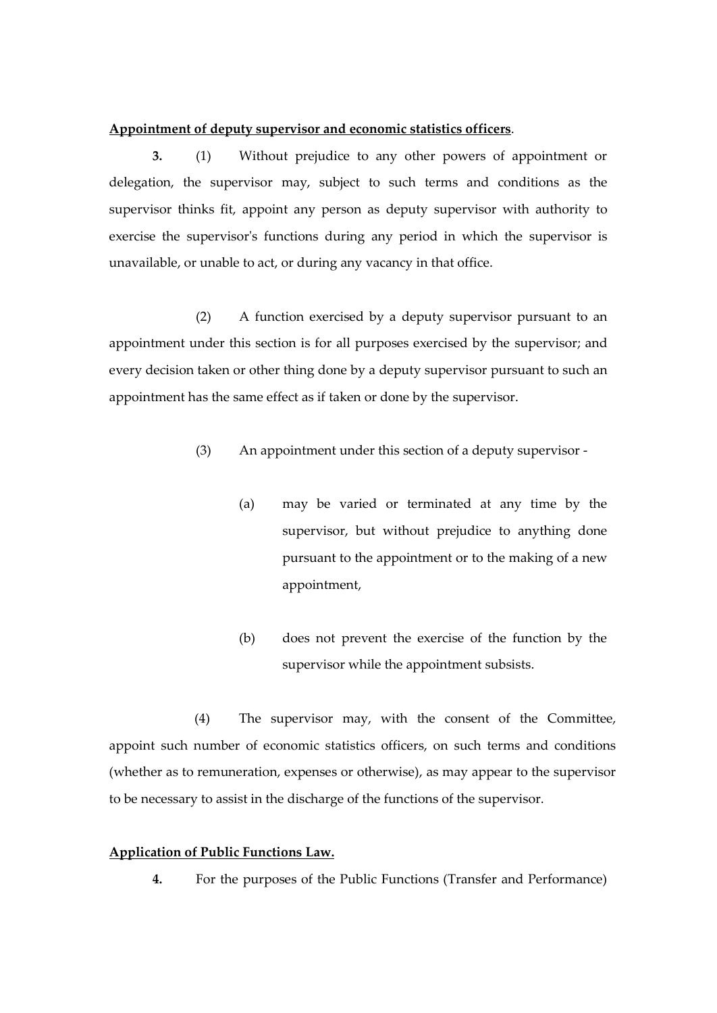#### **Appointment of deputy supervisor and economic statistics officers**.

**3.** (1) Without prejudice to any other powers of appointment or delegation, the supervisor may, subject to such terms and conditions as the supervisor thinks fit, appoint any person as deputy supervisor with authority to exercise the supervisor's functions during any period in which the supervisor is unavailable, or unable to act, or during any vacancy in that office.

(2) A function exercised by a deputy supervisor pursuant to an appointment under this section is for all purposes exercised by the supervisor; and every decision taken or other thing done by a deputy supervisor pursuant to such an appointment has the same effect as if taken or done by the supervisor.

- (3) An appointment under this section of a deputy supervisor
	- (a) may be varied or terminated at any time by the supervisor, but without prejudice to anything done pursuant to the appointment or to the making of a new appointment,
	- (b) does not prevent the exercise of the function by the supervisor while the appointment subsists.

(4) The supervisor may, with the consent of the Committee, appoint such number of economic statistics officers, on such terms and conditions (whether as to remuneration, expenses or otherwise), as may appear to the supervisor to be necessary to assist in the discharge of the functions of the supervisor.

## **Application of Public Functions Law.**

**4.** For the purposes of the Public Functions (Transfer and Performance)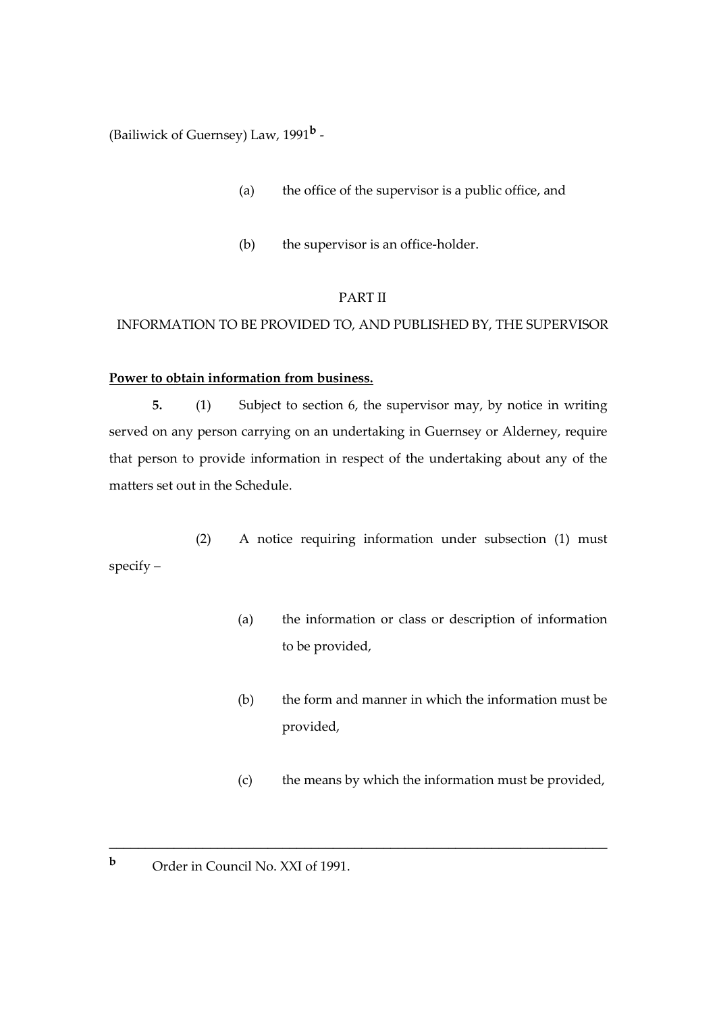(Bailiwick of Guernsey) Law, 1991**<sup>b</sup>** -

- (a) the office of the supervisor is a public office, and
- (b) the supervisor is an office-holder.

## PART II

## INFORMATION TO BE PROVIDED TO, AND PUBLISHED BY, THE SUPERVISOR

## **Power to obtain information from business.**

**5.** (1) Subject to section 6, the supervisor may, by notice in writing served on any person carrying on an undertaking in Guernsey or Alderney, require that person to provide information in respect of the undertaking about any of the matters set out in the Schedule.

(2) A notice requiring information under subsection (1) must specify –

\_\_\_\_\_\_\_\_\_\_\_\_\_\_\_\_\_\_\_\_\_\_\_\_\_\_\_\_\_\_\_\_\_\_\_\_\_\_\_\_\_\_\_\_\_\_\_\_\_\_\_\_\_\_\_\_\_\_\_\_\_\_\_\_\_\_\_\_\_

- (a) the information or class or description of information to be provided,
- (b) the form and manner in which the information must be provided,
- (c) the means by which the information must be provided,
- **b** Order in Council No. XXI of 1991.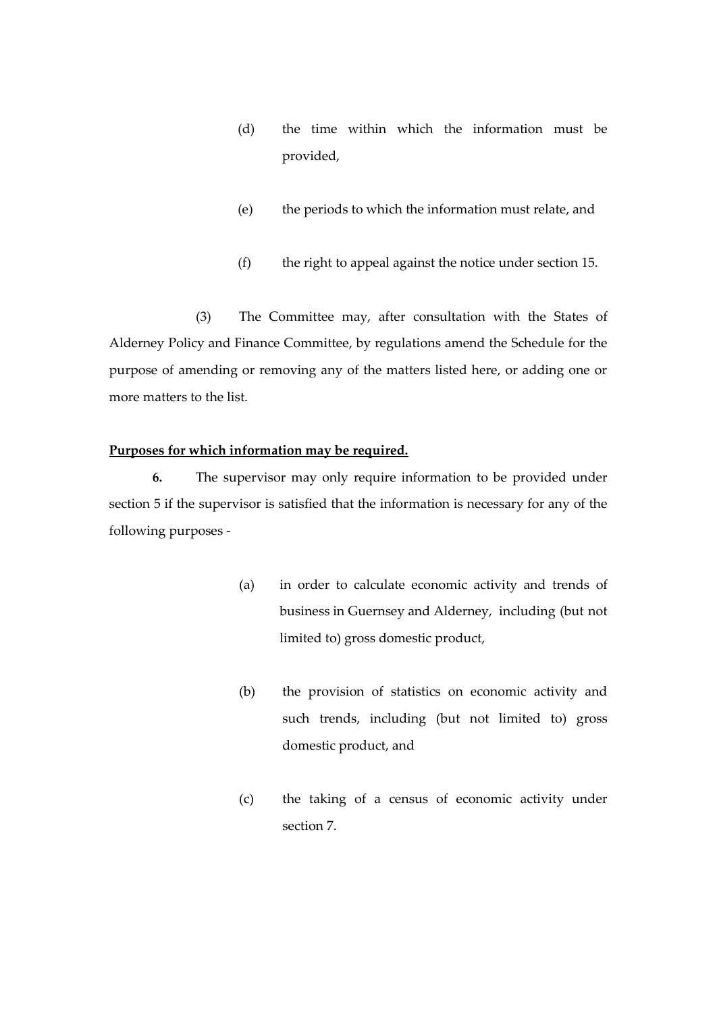- (d) the time within which the information must be provided,
- (e) the periods to which the information must relate, and
- (f) the right to appeal against the notice under section 15.

(3) The Committee may, after consultation with the States of Alderney Policy and Finance Committee, by regulations amend the Schedule for the purpose of amending or removing any of the matters listed here, or adding one or more matters to the list.

## **Purposes for which information may be required.**

**6.** The supervisor may only require information to be provided under section 5 if the supervisor is satisfied that the information is necessary for any of the following purposes -

- (a) in order to calculate economic activity and trends of business in Guernsey and Alderney, including (but not limited to) gross domestic product,
- (b) the provision of statistics on economic activity and such trends, including (but not limited to) gross domestic product, and
- (c) the taking of a census of economic activity under section 7.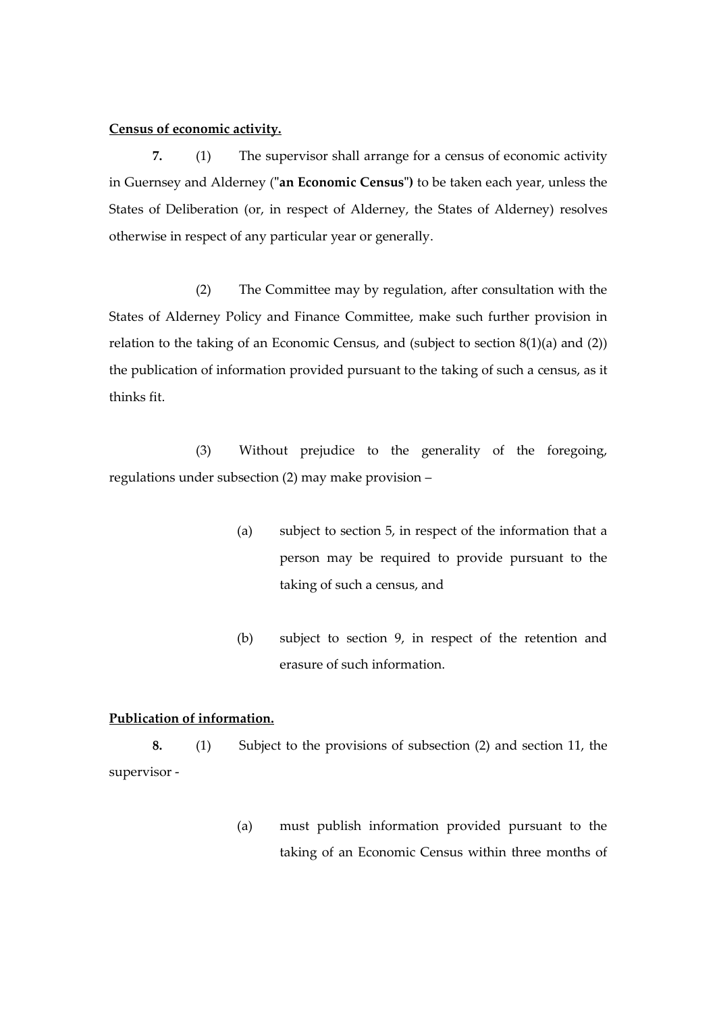#### **Census of economic activity.**

**7.** (1) The supervisor shall arrange for a census of economic activity in Guernsey and Alderney (**"an Economic Census")** to be taken each year, unless the States of Deliberation (or, in respect of Alderney, the States of Alderney) resolves otherwise in respect of any particular year or generally.

(2) The Committee may by regulation, after consultation with the States of Alderney Policy and Finance Committee, make such further provision in relation to the taking of an Economic Census, and (subject to section 8(1)(a) and (2)) the publication of information provided pursuant to the taking of such a census, as it thinks fit.

(3) Without prejudice to the generality of the foregoing, regulations under subsection (2) may make provision –

- (a) subject to section 5, in respect of the information that a person may be required to provide pursuant to the taking of such a census, and
- (b) subject to section 9, in respect of the retention and erasure of such information.

## **Publication of information.**

**8.** (1) Subject to the provisions of subsection (2) and section 11, the supervisor -

> (a) must publish information provided pursuant to the taking of an Economic Census within three months of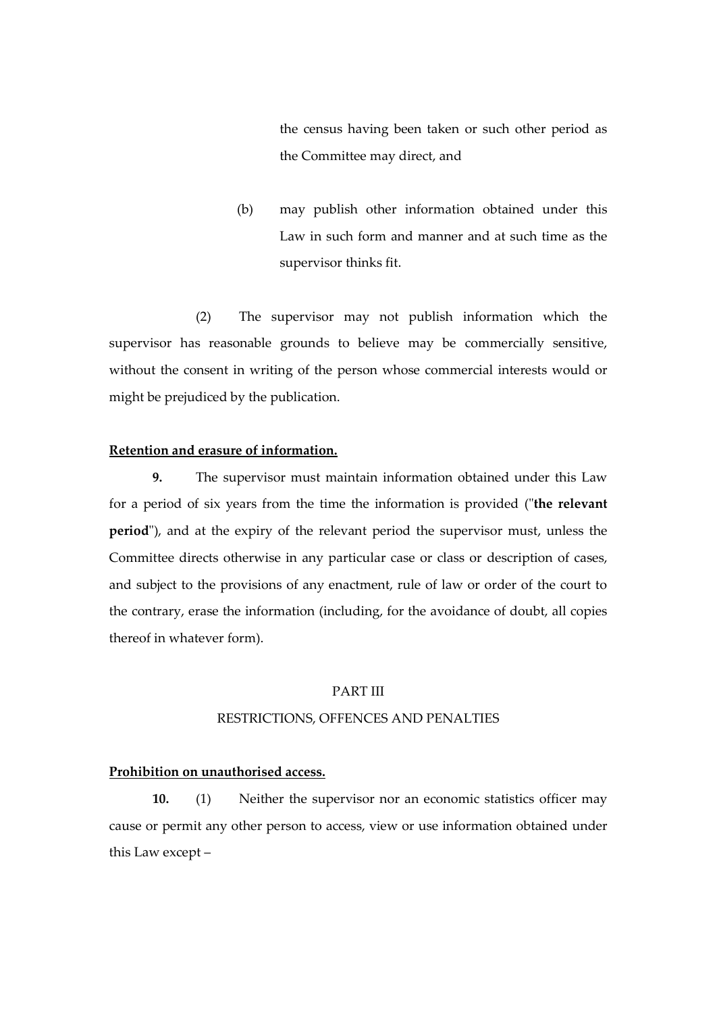the census having been taken or such other period as the Committee may direct, and

(b) may publish other information obtained under this Law in such form and manner and at such time as the supervisor thinks fit.

(2) The supervisor may not publish information which the supervisor has reasonable grounds to believe may be commercially sensitive, without the consent in writing of the person whose commercial interests would or might be prejudiced by the publication.

#### **Retention and erasure of information.**

**9.** The supervisor must maintain information obtained under this Law for a period of six years from the time the information is provided ("**the relevant period**"), and at the expiry of the relevant period the supervisor must, unless the Committee directs otherwise in any particular case or class or description of cases, and subject to the provisions of any enactment, rule of law or order of the court to the contrary, erase the information (including, for the avoidance of doubt, all copies thereof in whatever form).

#### PART III

## RESTRICTIONS, OFFENCES AND PENALTIES

## **Prohibition on unauthorised access.**

**10.** (1) Neither the supervisor nor an economic statistics officer may cause or permit any other person to access, view or use information obtained under this Law except –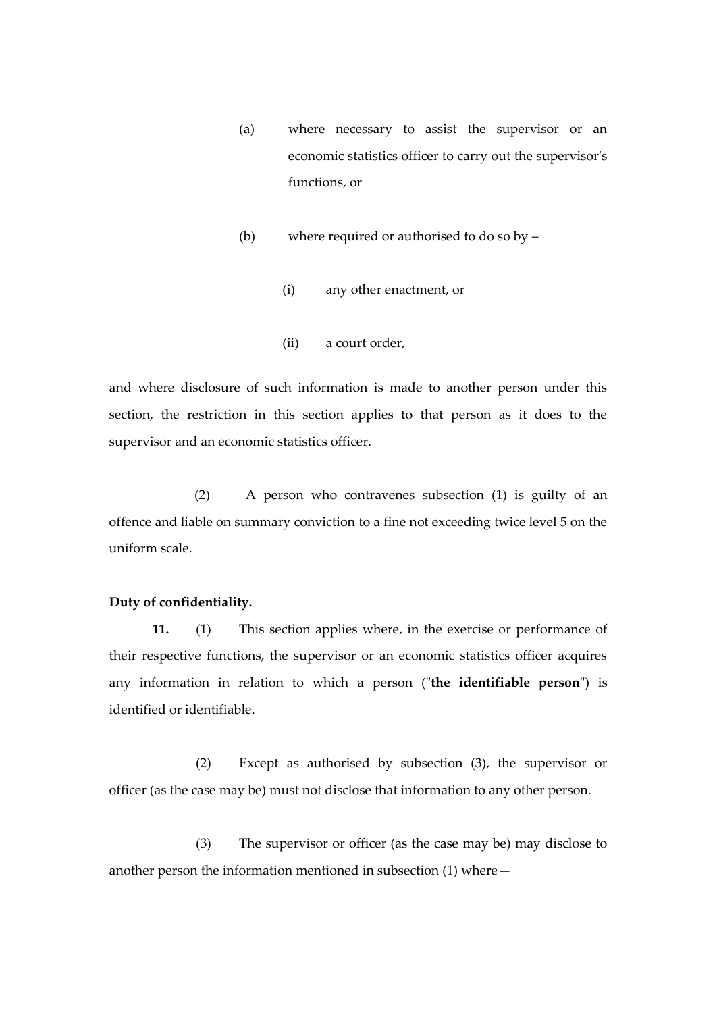- (a) where necessary to assist the supervisor or an economic statistics officer to carry out the supervisor's functions, or
- (b) where required or authorised to do so by
	- (i) any other enactment, or
	- (ii) a court order,

and where disclosure of such information is made to another person under this section, the restriction in this section applies to that person as it does to the supervisor and an economic statistics officer.

(2) A person who contravenes subsection (1) is guilty of an offence and liable on summary conviction to a fine not exceeding twice level 5 on the uniform scale.

#### **Duty of confidentiality.**

**11.** (1) This section applies where, in the exercise or performance of their respective functions, the supervisor or an economic statistics officer acquires any information in relation to which a person ("**the identifiable person**") is identified or identifiable.

(2) Except as authorised by subsection (3), the supervisor or officer (as the case may be) must not disclose that information to any other person.

(3) The supervisor or officer (as the case may be) may disclose to another person the information mentioned in subsection (1) where—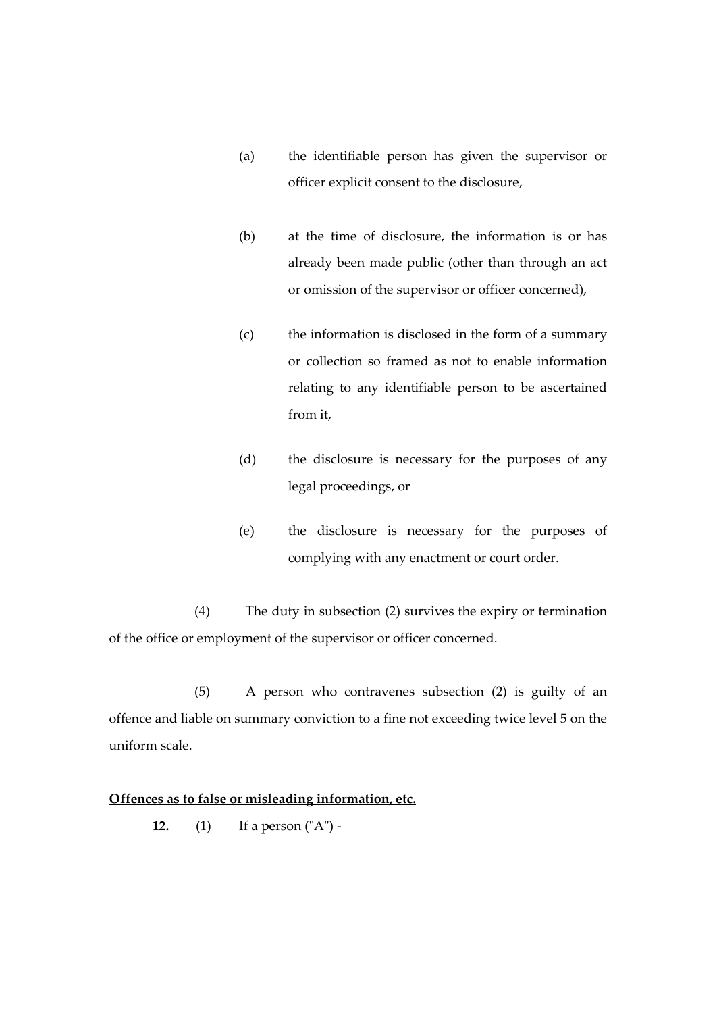- (a) the identifiable person has given the supervisor or officer explicit consent to the disclosure,
- (b) at the time of disclosure, the information is or has already been made public (other than through an act or omission of the supervisor or officer concerned),
- (c) the information is disclosed in the form of a summary or collection so framed as not to enable information relating to any identifiable person to be ascertained from it,
- (d) the disclosure is necessary for the purposes of any legal proceedings, or
- (e) the disclosure is necessary for the purposes of complying with any enactment or court order.

(4) The duty in subsection (2) survives the expiry or termination of the office or employment of the supervisor or officer concerned.

(5) A person who contravenes subsection (2) is guilty of an offence and liable on summary conviction to a fine not exceeding twice level 5 on the uniform scale.

## **Offences as to false or misleading information, etc.**

**12.** (1) If a person ("A") -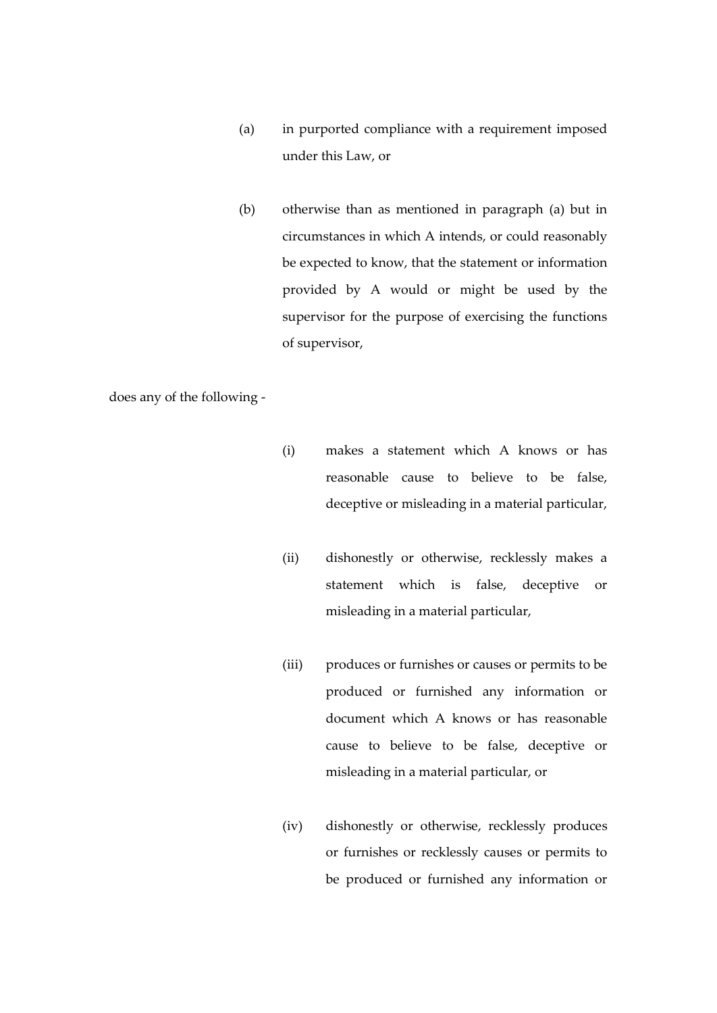- (a) in purported compliance with a requirement imposed under this Law, or
- (b) otherwise than as mentioned in paragraph (a) but in circumstances in which A intends, or could reasonably be expected to know, that the statement or information provided by A would or might be used by the supervisor for the purpose of exercising the functions of supervisor,

does any of the following -

- (i) makes a statement which A knows or has reasonable cause to believe to be false, deceptive or misleading in a material particular,
- (ii) dishonestly or otherwise, recklessly makes a statement which is false, deceptive or misleading in a material particular,
- (iii) produces or furnishes or causes or permits to be produced or furnished any information or document which A knows or has reasonable cause to believe to be false, deceptive or misleading in a material particular, or
- (iv) dishonestly or otherwise, recklessly produces or furnishes or recklessly causes or permits to be produced or furnished any information or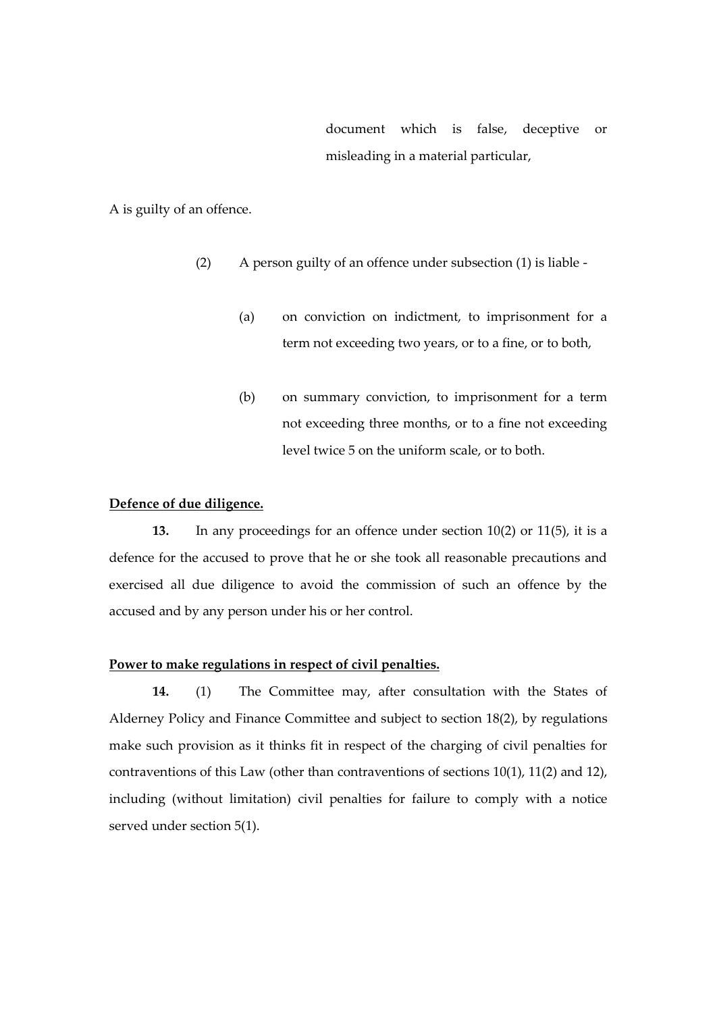document which is false, deceptive or misleading in a material particular,

A is guilty of an offence.

- (2) A person guilty of an offence under subsection (1) is liable
	- (a) on conviction on indictment, to imprisonment for a term not exceeding two years, or to a fine, or to both,
	- (b) on summary conviction, to imprisonment for a term not exceeding three months, or to a fine not exceeding level twice 5 on the uniform scale, or to both.

#### **Defence of due diligence.**

**13.** In any proceedings for an offence under section 10(2) or 11(5), it is a defence for the accused to prove that he or she took all reasonable precautions and exercised all due diligence to avoid the commission of such an offence by the accused and by any person under his or her control.

#### **Power to make regulations in respect of civil penalties.**

**14.** (1) The Committee may, after consultation with the States of Alderney Policy and Finance Committee and subject to section 18(2), by regulations make such provision as it thinks fit in respect of the charging of civil penalties for contraventions of this Law (other than contraventions of sections 10(1), 11(2) and 12), including (without limitation) civil penalties for failure to comply with a notice served under section 5(1).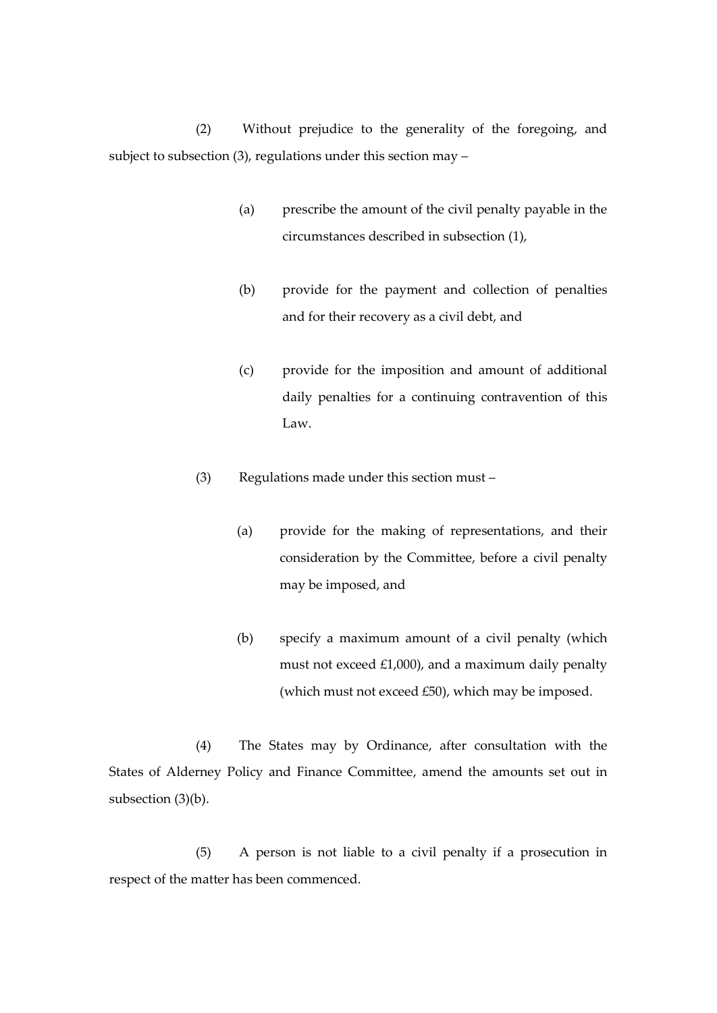(2) Without prejudice to the generality of the foregoing, and subject to subsection (3), regulations under this section may –

- (a) prescribe the amount of the civil penalty payable in the circumstances described in subsection (1),
- (b) provide for the payment and collection of penalties and for their recovery as a civil debt, and
- (c) provide for the imposition and amount of additional daily penalties for a continuing contravention of this Law.
- (3) Regulations made under this section must
	- (a) provide for the making of representations, and their consideration by the Committee, before a civil penalty may be imposed, and
	- (b) specify a maximum amount of a civil penalty (which must not exceed £1,000), and a maximum daily penalty (which must not exceed £50), which may be imposed.

(4) The States may by Ordinance, after consultation with the States of Alderney Policy and Finance Committee, amend the amounts set out in subsection (3)(b).

(5) A person is not liable to a civil penalty if a prosecution in respect of the matter has been commenced.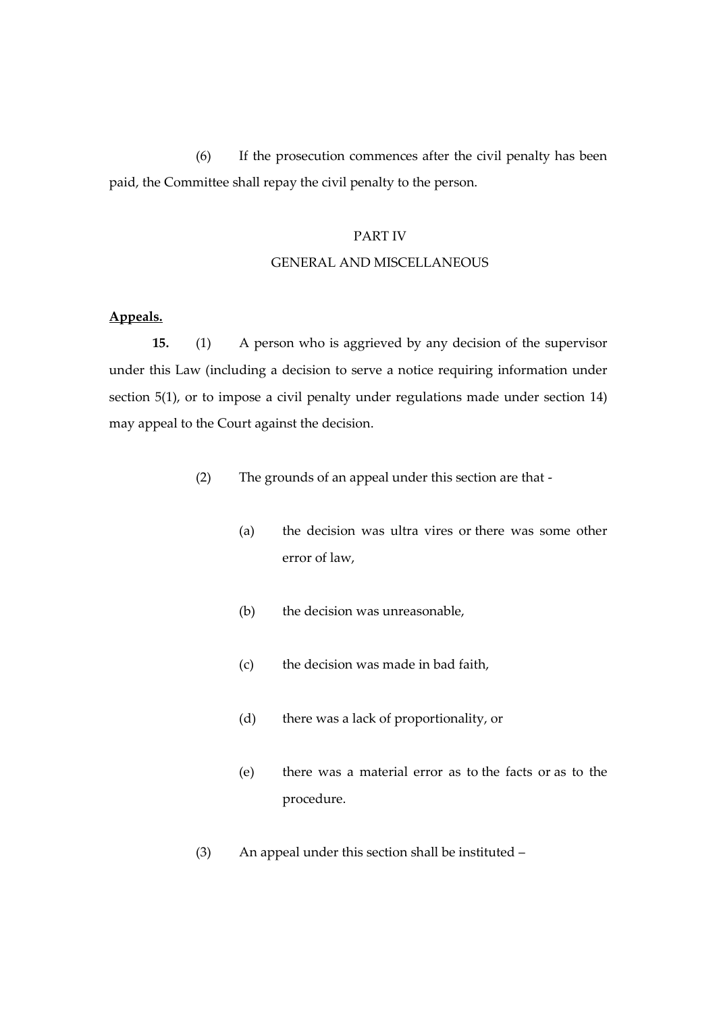(6) If the prosecution commences after the civil penalty has been paid, the Committee shall repay the civil penalty to the person.

#### PART IV

#### GENERAL AND MISCELLANEOUS

## **Appeals.**

**15.** (1) A person who is aggrieved by any decision of the supervisor under this Law (including a decision to serve a notice requiring information under section 5(1), or to impose a civil penalty under regulations made under section 14) may appeal to the Court against the decision.

- (2) The grounds of an appeal under this section are that
	- (a) the decision was ultra vires or there was some other error of law,
	- (b) the decision was unreasonable,
	- (c) the decision was made in bad faith,
	- (d) there was a lack of proportionality, or
	- (e) there was a material error as to the facts or as to the procedure.
- (3) An appeal under this section shall be instituted –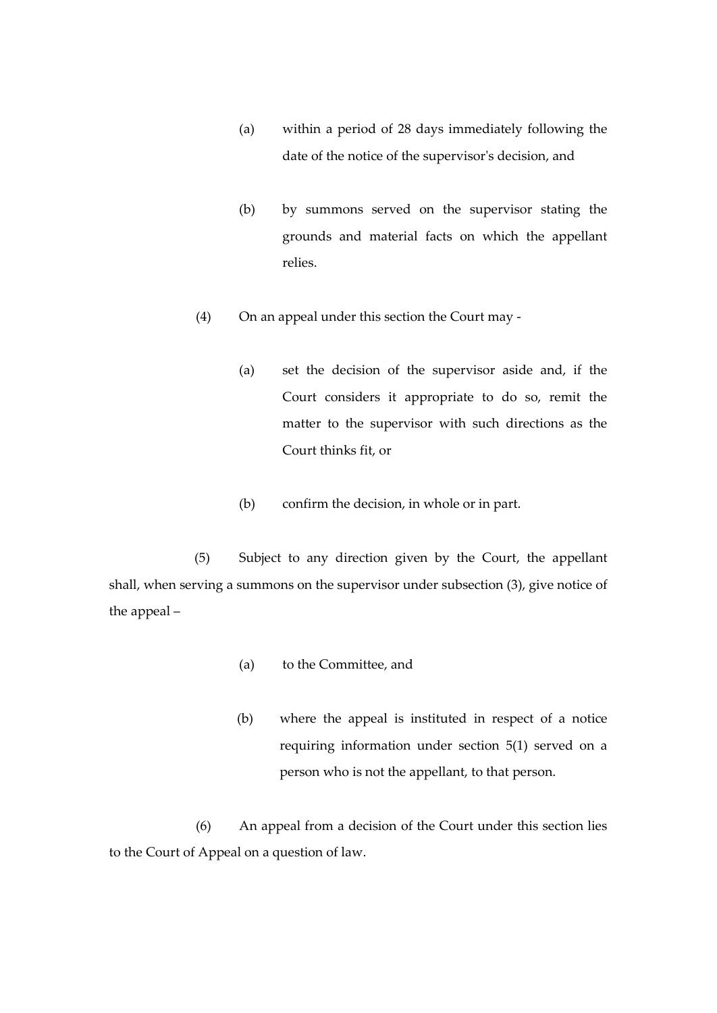- (a) within a period of 28 days immediately following the date of the notice of the supervisor's decision, and
- (b) by summons served on the supervisor stating the grounds and material facts on which the appellant relies.
- (4) On an appeal under this section the Court may
	- (a) set the decision of the supervisor aside and, if the Court considers it appropriate to do so, remit the matter to the supervisor with such directions as the Court thinks fit, or
	- (b) confirm the decision, in whole or in part.

(5) Subject to any direction given by the Court, the appellant shall, when serving a summons on the supervisor under subsection (3), give notice of the appeal –

- (a) to the Committee, and
- (b) where the appeal is instituted in respect of a notice requiring information under section 5(1) served on a person who is not the appellant, to that person.

(6) An appeal from a decision of the Court under this section lies to the Court of Appeal on a question of law.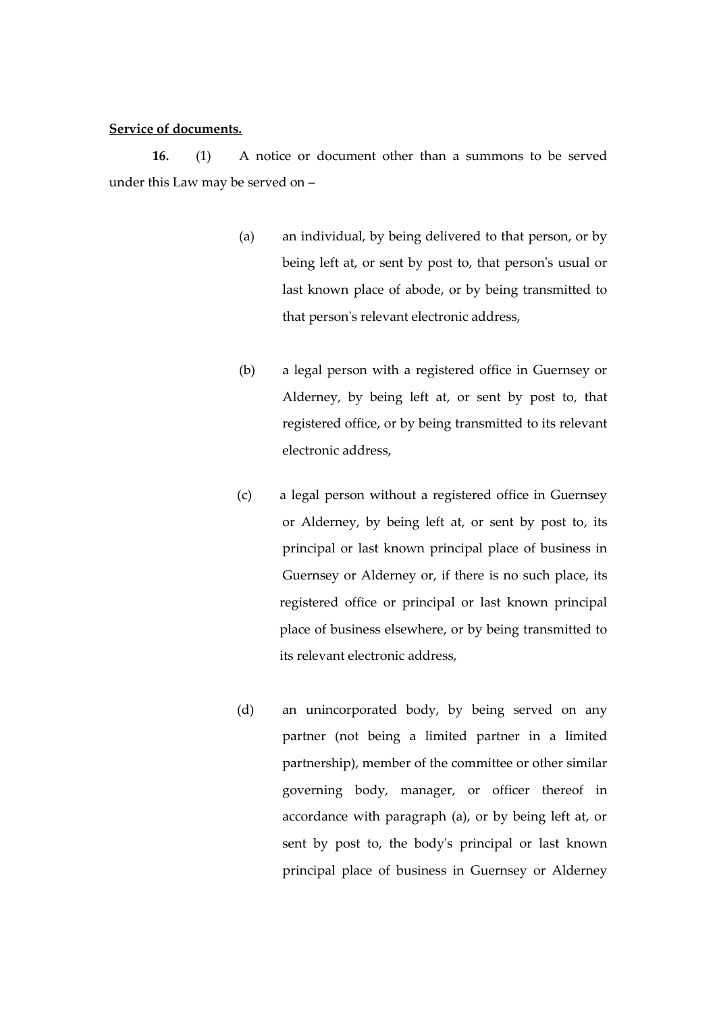#### **Service of documents.**

**16.** (1) A notice or document other than a summons to be served under this Law may be served on –

- (a) an individual, by being delivered to that person, or by being left at, or sent by post to, that person's usual or last known place of abode, or by being transmitted to that person's relevant electronic address,
- (b) a legal person with a registered office in Guernsey or Alderney, by being left at, or sent by post to, that registered office, or by being transmitted to its relevant electronic address,
- (c) a legal person without a registered office in Guernsey or Alderney, by being left at, or sent by post to, its principal or last known principal place of business in Guernsey or Alderney or, if there is no such place, its registered office or principal or last known principal place of business elsewhere, or by being transmitted to its relevant electronic address,
- (d) an unincorporated body, by being served on any partner (not being a limited partner in a limited partnership), member of the committee or other similar governing body, manager, or officer thereof in accordance with paragraph (a), or by being left at, or sent by post to, the body's principal or last known principal place of business in Guernsey or Alderney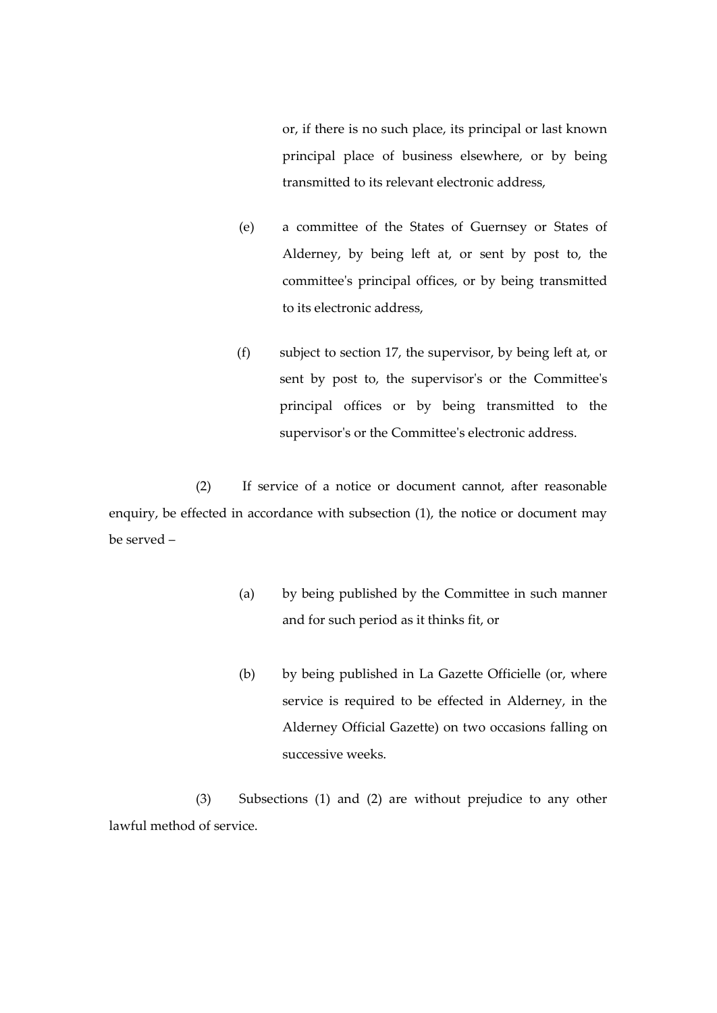or, if there is no such place, its principal or last known principal place of business elsewhere, or by being transmitted to its relevant electronic address,

- (e) a committee of the States of Guernsey or States of Alderney, by being left at, or sent by post to, the committee's principal offices, or by being transmitted to its electronic address,
- (f) subject to section 17, the supervisor, by being left at, or sent by post to, the supervisor's or the Committee's principal offices or by being transmitted to the supervisor's or the Committee's electronic address.

(2) If service of a notice or document cannot, after reasonable enquiry, be effected in accordance with subsection (1), the notice or document may be served –

- (a) by being published by the Committee in such manner and for such period as it thinks fit, or
- (b) by being published in La Gazette Officielle (or, where service is required to be effected in Alderney, in the Alderney Official Gazette) on two occasions falling on successive weeks.

(3) Subsections (1) and (2) are without prejudice to any other lawful method of service.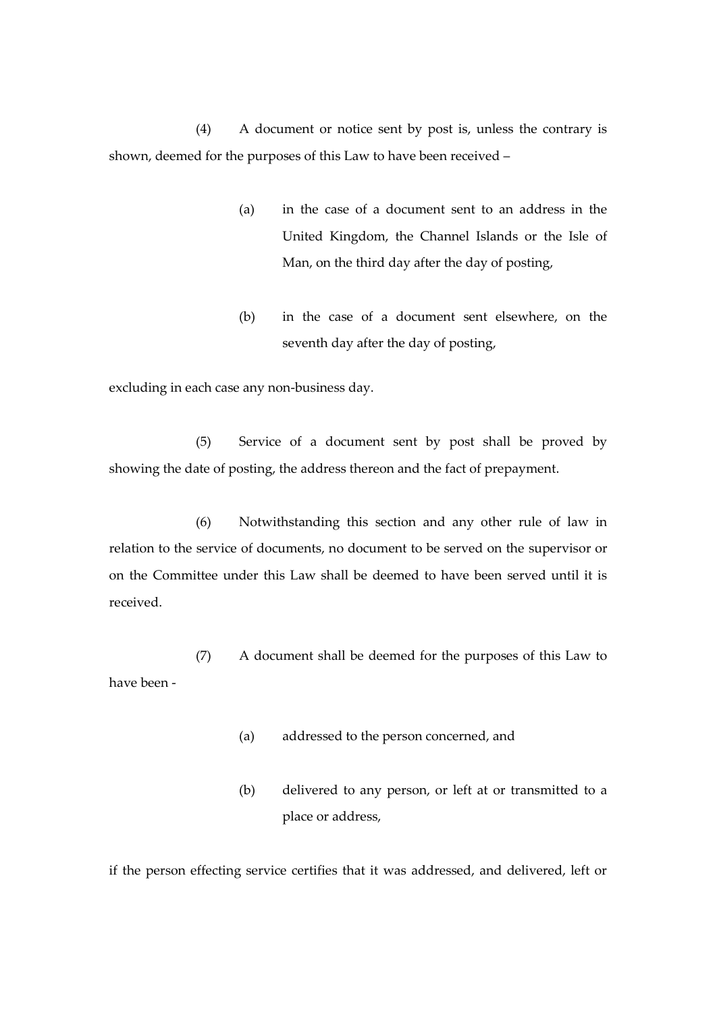(4) A document or notice sent by post is, unless the contrary is shown, deemed for the purposes of this Law to have been received –

- (a) in the case of a document sent to an address in the United Kingdom, the Channel Islands or the Isle of Man, on the third day after the day of posting,
- (b) in the case of a document sent elsewhere, on the seventh day after the day of posting,

excluding in each case any non-business day.

(5) Service of a document sent by post shall be proved by showing the date of posting, the address thereon and the fact of prepayment.

(6) Notwithstanding this section and any other rule of law in relation to the service of documents, no document to be served on the supervisor or on the Committee under this Law shall be deemed to have been served until it is received.

(7) A document shall be deemed for the purposes of this Law to have been -

- (a) addressed to the person concerned, and
- (b) delivered to any person, or left at or transmitted to a place or address,

if the person effecting service certifies that it was addressed, and delivered, left or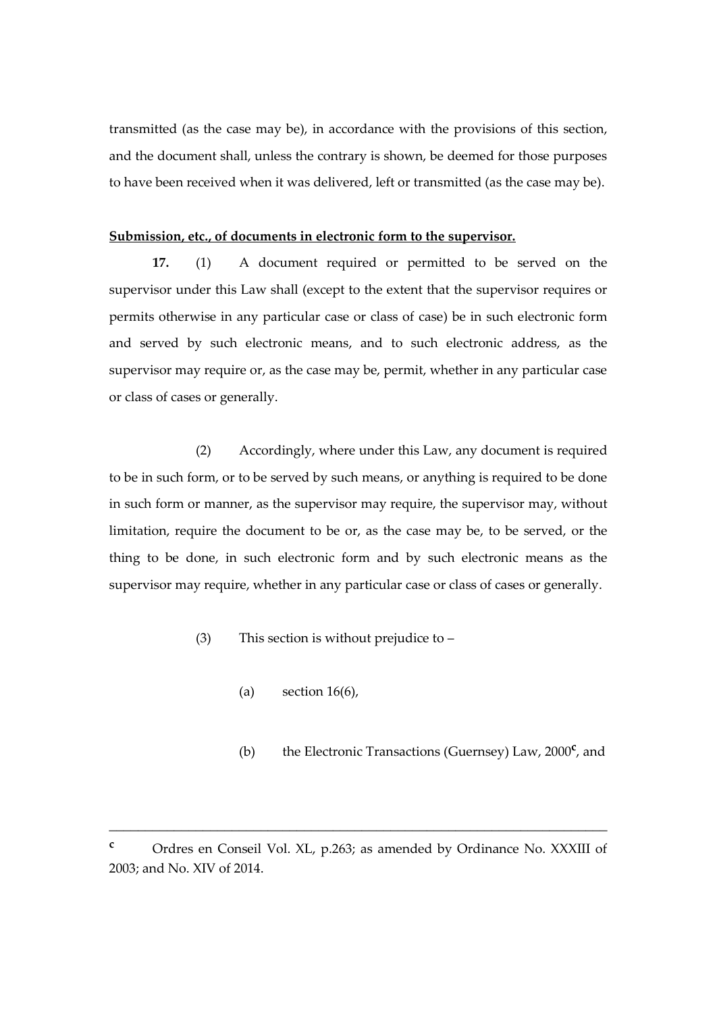transmitted (as the case may be), in accordance with the provisions of this section, and the document shall, unless the contrary is shown, be deemed for those purposes to have been received when it was delivered, left or transmitted (as the case may be).

#### **Submission, etc., of documents in electronic form to the supervisor.**

**17.** (1) A document required or permitted to be served on the supervisor under this Law shall (except to the extent that the supervisor requires or permits otherwise in any particular case or class of case) be in such electronic form and served by such electronic means, and to such electronic address, as the supervisor may require or, as the case may be, permit, whether in any particular case or class of cases or generally.

(2) Accordingly, where under this Law, any document is required to be in such form, or to be served by such means, or anything is required to be done in such form or manner, as the supervisor may require, the supervisor may, without limitation, require the document to be or, as the case may be, to be served, or the thing to be done, in such electronic form and by such electronic means as the supervisor may require, whether in any particular case or class of cases or generally.

- (3) This section is without prejudice to
	- (a) section  $16(6)$ ,
	- (b) the Electronic Transactions (Guernsey) Law, 2000**<sup>c</sup>** , and

\_\_\_\_\_\_\_\_\_\_\_\_\_\_\_\_\_\_\_\_\_\_\_\_\_\_\_\_\_\_\_\_\_\_\_\_\_\_\_\_\_\_\_\_\_\_\_\_\_\_\_\_\_\_\_\_\_\_\_\_\_\_\_\_\_\_\_\_\_

**<sup>c</sup>** Ordres en Conseil Vol. XL, p.263; as amended by Ordinance No. XXXIII of 2003; and No. XIV of 2014.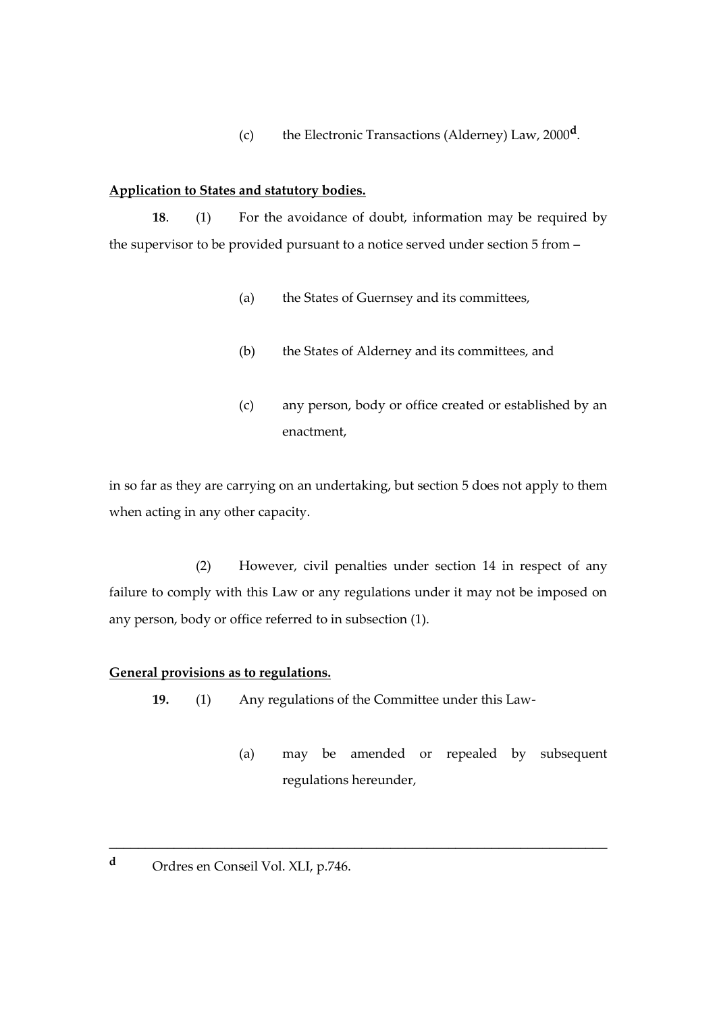(c) the Electronic Transactions (Alderney) Law, 2000**<sup>d</sup>** .

#### **Application to States and statutory bodies.**

**18**. (1) For the avoidance of doubt, information may be required by the supervisor to be provided pursuant to a notice served under section 5 from –

- (a) the States of Guernsey and its committees,
- (b) the States of Alderney and its committees, and
- (c) any person, body or office created or established by an enactment,

in so far as they are carrying on an undertaking, but section 5 does not apply to them when acting in any other capacity.

(2) However, civil penalties under section 14 in respect of any failure to comply with this Law or any regulations under it may not be imposed on any person, body or office referred to in subsection (1).

#### **General provisions as to regulations.**

**19.** (1) Any regulations of the Committee under this Law-

\_\_\_\_\_\_\_\_\_\_\_\_\_\_\_\_\_\_\_\_\_\_\_\_\_\_\_\_\_\_\_\_\_\_\_\_\_\_\_\_\_\_\_\_\_\_\_\_\_\_\_\_\_\_\_\_\_\_\_\_\_\_\_\_\_\_\_\_\_

- (a) may be amended or repealed by subsequent regulations hereunder,
- **<sup>d</sup>** Ordres en Conseil Vol. XLI, p.746.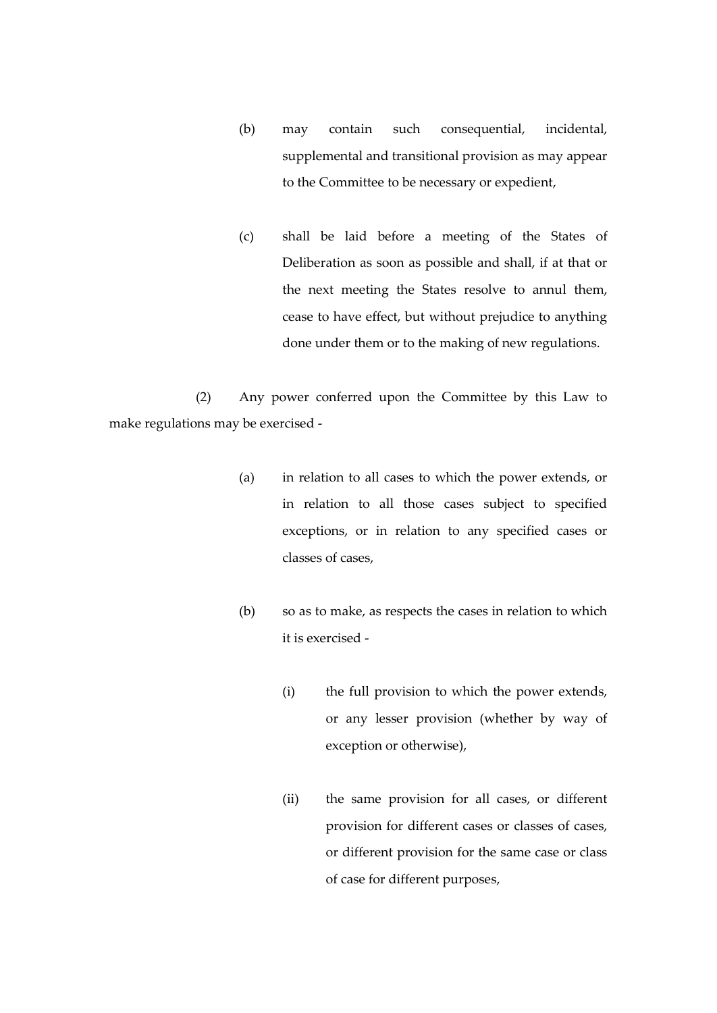- (b) may contain such consequential, incidental, supplemental and transitional provision as may appear to the Committee to be necessary or expedient,
- (c) shall be laid before a meeting of the States of Deliberation as soon as possible and shall, if at that or the next meeting the States resolve to annul them, cease to have effect, but without prejudice to anything done under them or to the making of new regulations.

(2) Any power conferred upon the Committee by this Law to make regulations may be exercised -

- (a) in relation to all cases to which the power extends, or in relation to all those cases subject to specified exceptions, or in relation to any specified cases or classes of cases,
- (b) so as to make, as respects the cases in relation to which it is exercised -
	- (i) the full provision to which the power extends, or any lesser provision (whether by way of exception or otherwise),
	- (ii) the same provision for all cases, or different provision for different cases or classes of cases, or different provision for the same case or class of case for different purposes,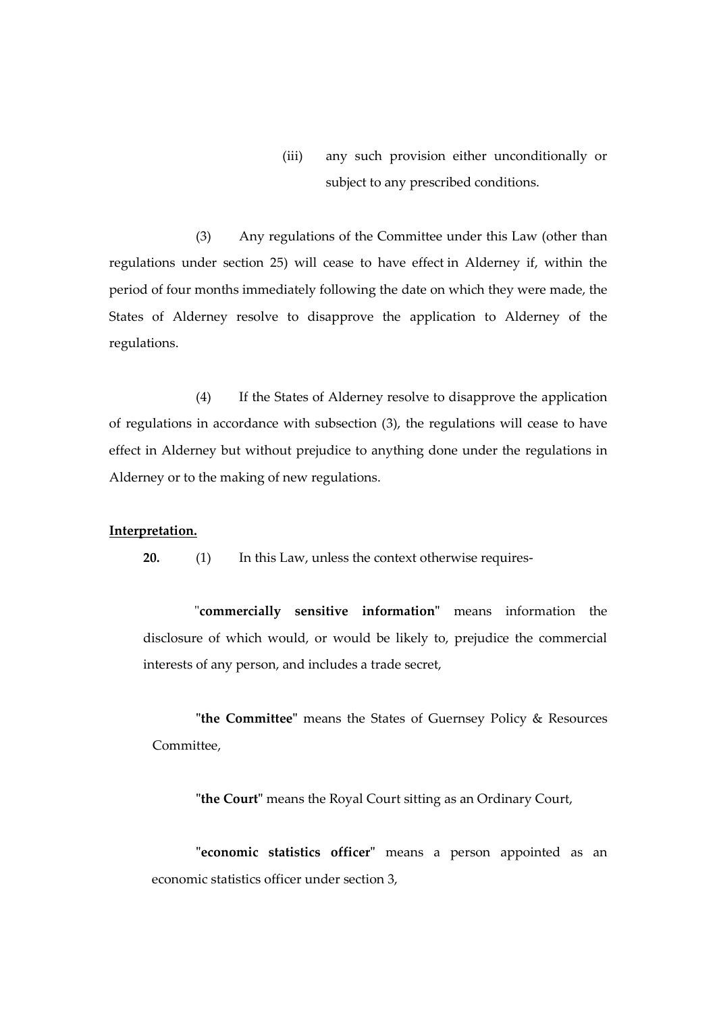(iii) any such provision either unconditionally or subject to any prescribed conditions.

(3) Any regulations of the Committee under this Law (other than regulations under section 25) will cease to have effect in Alderney if, within the period of four months immediately following the date on which they were made, the States of Alderney resolve to disapprove the application to Alderney of the regulations.

(4) If the States of Alderney resolve to disapprove the application of regulations in accordance with subsection (3), the regulations will cease to have effect in Alderney but without prejudice to anything done under the regulations in Alderney or to the making of new regulations.

#### **Interpretation.**

**20.** (1) In this Law, unless the context otherwise requires-

"**commercially sensitive information"** means information the disclosure of which would, or would be likely to, prejudice the commercial interests of any person, and includes a trade secret,

**"the Committee"** means the States of Guernsey Policy & Resources Committee,

**"the Court"** means the Royal Court sitting as an Ordinary Court,

**"economic statistics officer"** means a person appointed as an economic statistics officer under section 3,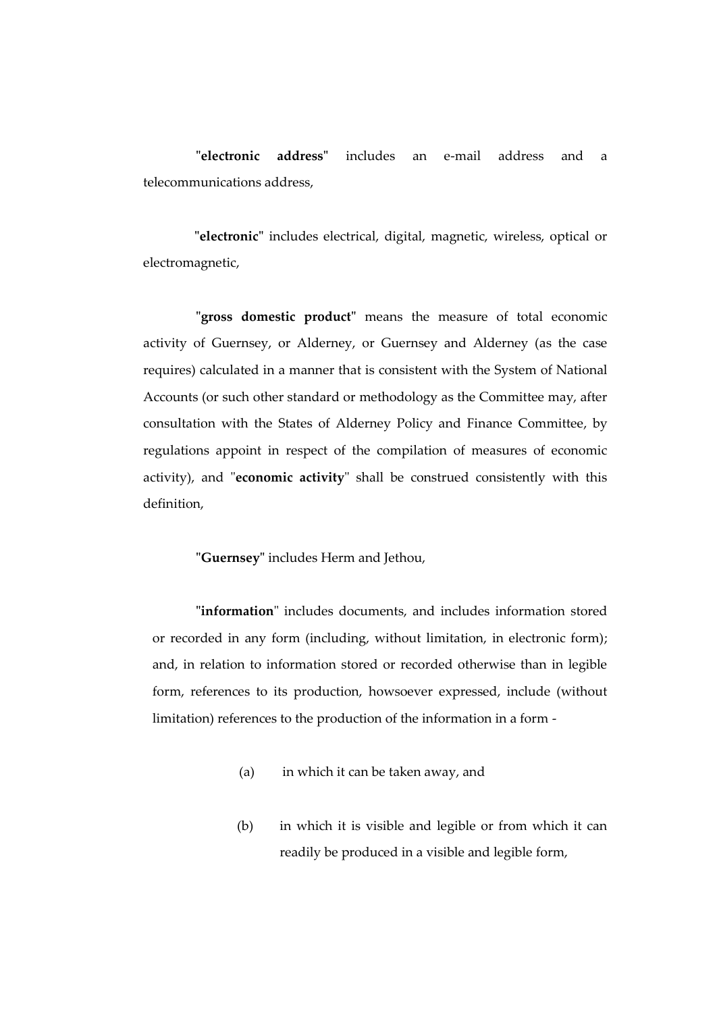**"electronic address"** includes an e-mail address and a telecommunications address,

**"electronic"** includes electrical, digital, magnetic, wireless, optical or electromagnetic,

**"gross domestic product"** means the measure of total economic activity of Guernsey, or Alderney, or Guernsey and Alderney (as the case requires) calculated in a manner that is consistent with the System of National Accounts (or such other standard or methodology as the Committee may, after consultation with the States of Alderney Policy and Finance Committee, by regulations appoint in respect of the compilation of measures of economic activity), and "**economic activity**" shall be construed consistently with this definition,

**"Guernsey"** includes Herm and Jethou,

**"information**" includes documents, and includes information stored or recorded in any form (including, without limitation, in electronic form); and, in relation to information stored or recorded otherwise than in legible form, references to its production, howsoever expressed, include (without limitation) references to the production of the information in a form -

- (a) in which it can be taken away, and
- (b) in which it is visible and legible or from which it can readily be produced in a visible and legible form,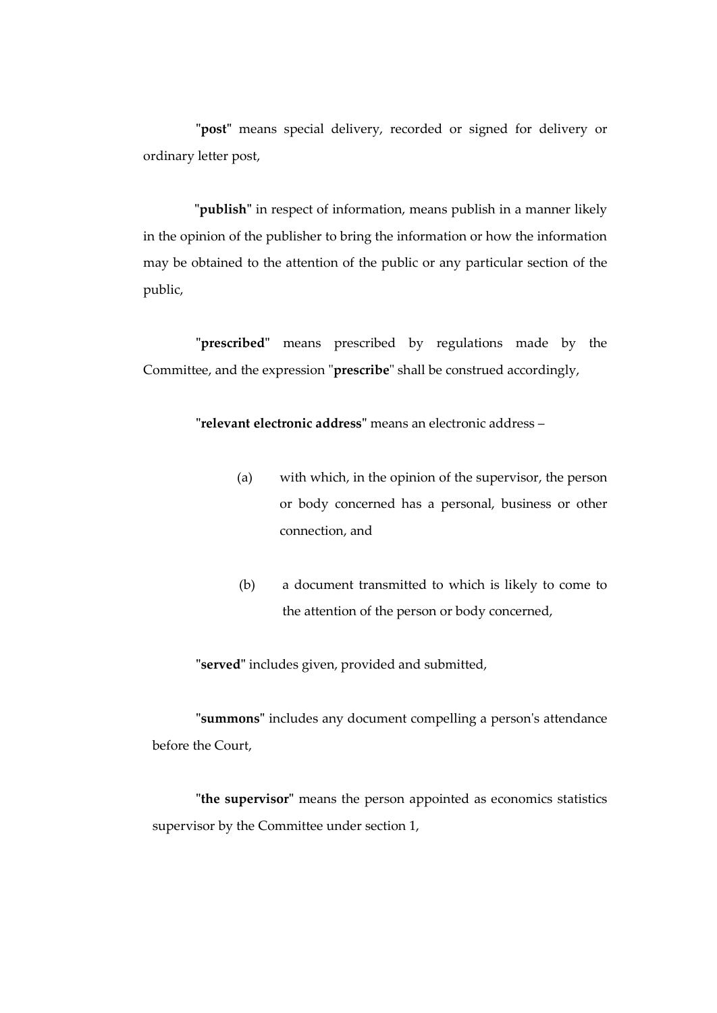**"post"** means special delivery, recorded or signed for delivery or ordinary letter post,

**"publish"** in respect of information, means publish in a manner likely in the opinion of the publisher to bring the information or how the information may be obtained to the attention of the public or any particular section of the public,

**"prescribed"** means prescribed by regulations made by the Committee, and the expression "**prescribe**" shall be construed accordingly,

**"relevant electronic address"** means an electronic address –

- (a) with which, in the opinion of the supervisor, the person or body concerned has a personal, business or other connection, and
- (b) a document transmitted to which is likely to come to the attention of the person or body concerned,

**"served"** includes given, provided and submitted,

**"summons"** includes any document compelling a person's attendance before the Court,

**"the supervisor"** means the person appointed as economics statistics supervisor by the Committee under section 1,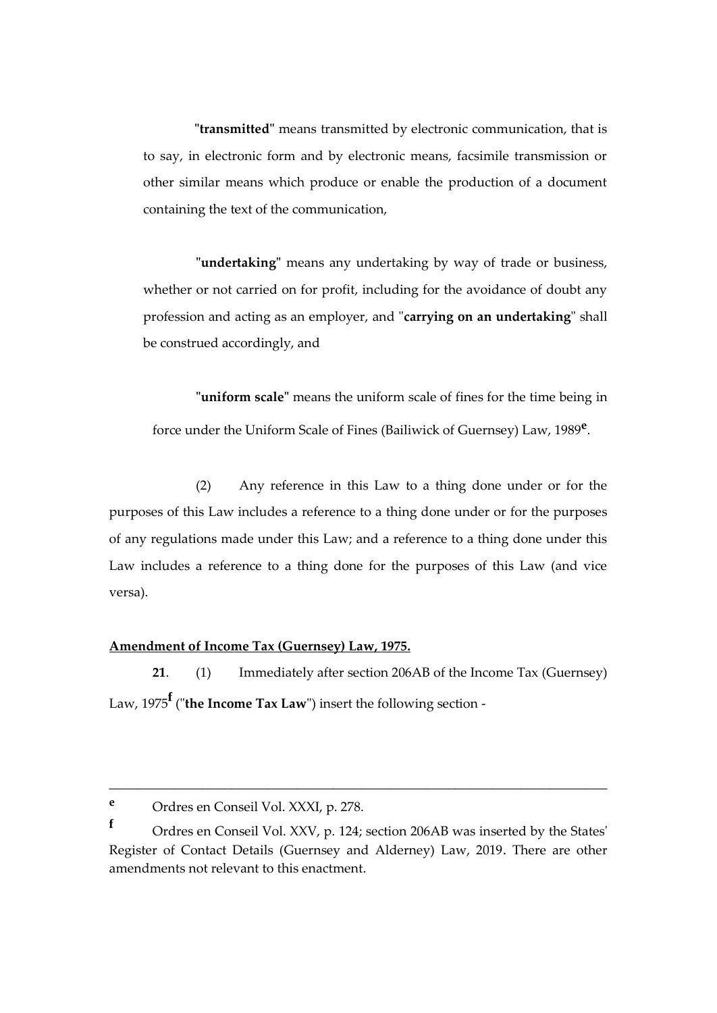**"transmitted"** means transmitted by electronic communication, that is to say, in electronic form and by electronic means, facsimile transmission or other similar means which produce or enable the production of a document containing the text of the communication,

**"undertaking"** means any undertaking by way of trade or business, whether or not carried on for profit, including for the avoidance of doubt any profession and acting as an employer, and "**carrying on an undertaking**" shall be construed accordingly, and

**"uniform scale"** means the uniform scale of fines for the time being in force under the Uniform Scale of Fines (Bailiwick of Guernsey) Law, 1989**<sup>e</sup>** .

(2) Any reference in this Law to a thing done under or for the purposes of this Law includes a reference to a thing done under or for the purposes of any regulations made under this Law; and a reference to a thing done under this Law includes a reference to a thing done for the purposes of this Law (and vice versa).

#### **Amendment of Income Tax (Guernsey) Law, 1975.**

**21**. (1) Immediately after section 206AB of the Income Tax (Guernsey) Law, 1975**<sup>f</sup>** ("**the Income Tax Law**") insert the following section -

\_\_\_\_\_\_\_\_\_\_\_\_\_\_\_\_\_\_\_\_\_\_\_\_\_\_\_\_\_\_\_\_\_\_\_\_\_\_\_\_\_\_\_\_\_\_\_\_\_\_\_\_\_\_\_\_\_\_\_\_\_\_\_\_\_\_\_\_\_

**<sup>e</sup>** Ordres en Conseil Vol. XXXI, p. 278.

**<sup>f</sup>** Ordres en Conseil Vol. XXV, p. 124; section 206AB was inserted by the States' Register of Contact Details (Guernsey and Alderney) Law, 2019. There are other amendments not relevant to this enactment.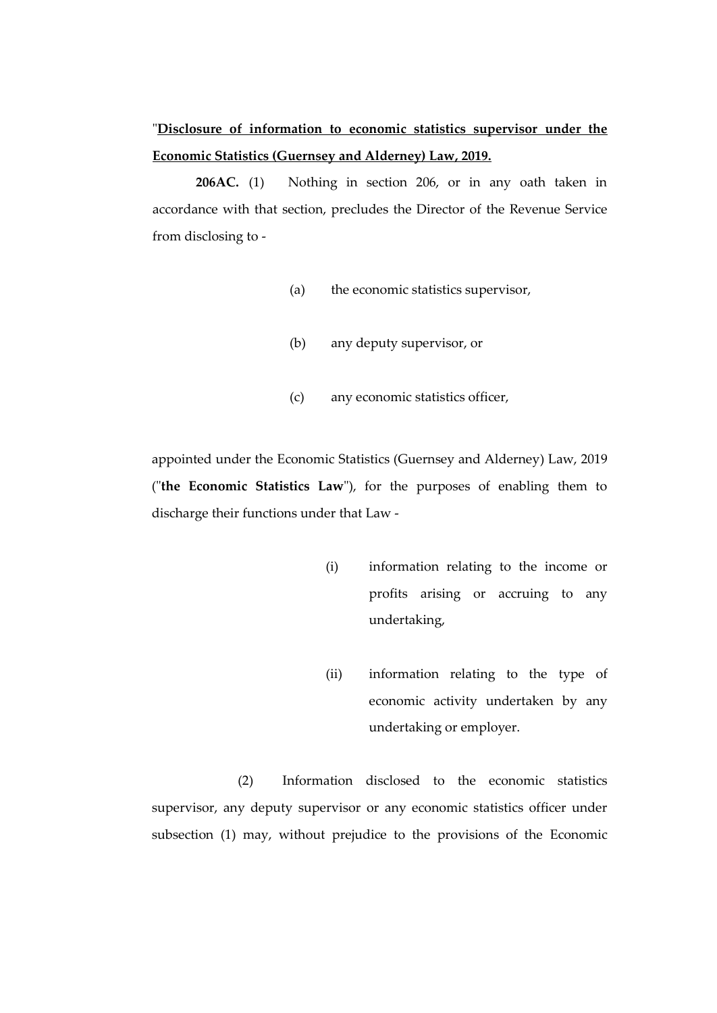# "**Disclosure of information to economic statistics supervisor under the Economic Statistics (Guernsey and Alderney) Law, 2019.**

**206AC.** (1) Nothing in section 206, or in any oath taken in accordance with that section, precludes the Director of the Revenue Service from disclosing to -

- (a) the economic statistics supervisor,
- (b) any deputy supervisor, or
- (c) any economic statistics officer,

appointed under the Economic Statistics (Guernsey and Alderney) Law, 2019 ("**the Economic Statistics Law**"), for the purposes of enabling them to discharge their functions under that Law -

- (i) information relating to the income or profits arising or accruing to any undertaking,
- (ii) information relating to the type of economic activity undertaken by any undertaking or employer.

(2) Information disclosed to the economic statistics supervisor, any deputy supervisor or any economic statistics officer under subsection (1) may, without prejudice to the provisions of the Economic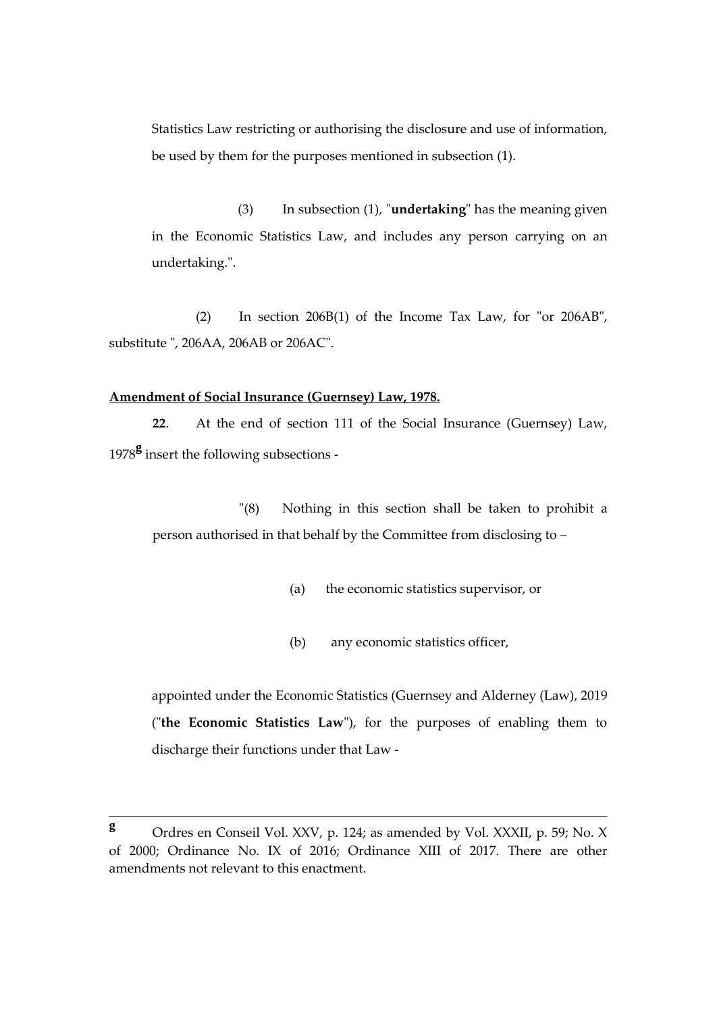Statistics Law restricting or authorising the disclosure and use of information, be used by them for the purposes mentioned in subsection (1).

(3) In subsection (1), "**undertaking**" has the meaning given in the Economic Statistics Law, and includes any person carrying on an undertaking.".

(2) In section 206B(1) of the Income Tax Law, for "or 206AB", substitute ", 206AA, 206AB or 206AC".

#### **Amendment of Social Insurance (Guernsey) Law, 1978.**

**22**. At the end of section 111 of the Social Insurance (Guernsey) Law, <sup>1978</sup>**<sup>g</sup>** insert the following subsections -

"(8) Nothing in this section shall be taken to prohibit a person authorised in that behalf by the Committee from disclosing to –

- (a) the economic statistics supervisor, or
- (b) any economic statistics officer,

appointed under the Economic Statistics (Guernsey and Alderney (Law), 2019 ("**the Economic Statistics Law**"), for the purposes of enabling them to discharge their functions under that Law -

\_\_\_\_\_\_\_\_\_\_\_\_\_\_\_\_\_\_\_\_\_\_\_\_\_\_\_\_\_\_\_\_\_\_\_\_\_\_\_\_\_\_\_\_\_\_\_\_\_\_\_\_\_\_\_\_\_\_\_\_\_\_\_\_\_\_\_\_\_

**<sup>g</sup>** Ordres en Conseil Vol. XXV, p. 124; as amended by Vol. XXXII, p. 59; No. X of 2000; Ordinance No. IX of 2016; Ordinance XIII of 2017. There are other amendments not relevant to this enactment.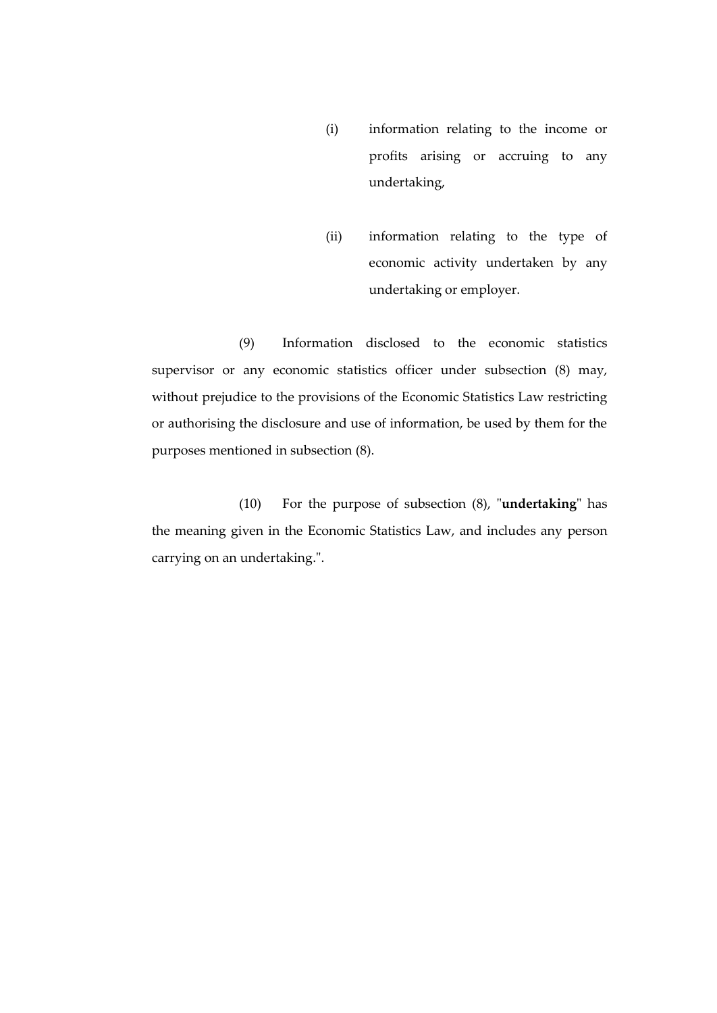- (i) information relating to the income or profits arising or accruing to any undertaking,
- (ii) information relating to the type of economic activity undertaken by any undertaking or employer.

(9) Information disclosed to the economic statistics supervisor or any economic statistics officer under subsection (8) may, without prejudice to the provisions of the Economic Statistics Law restricting or authorising the disclosure and use of information, be used by them for the purposes mentioned in subsection (8).

(10) For the purpose of subsection (8), "**undertaking**" has the meaning given in the Economic Statistics Law, and includes any person carrying on an undertaking.".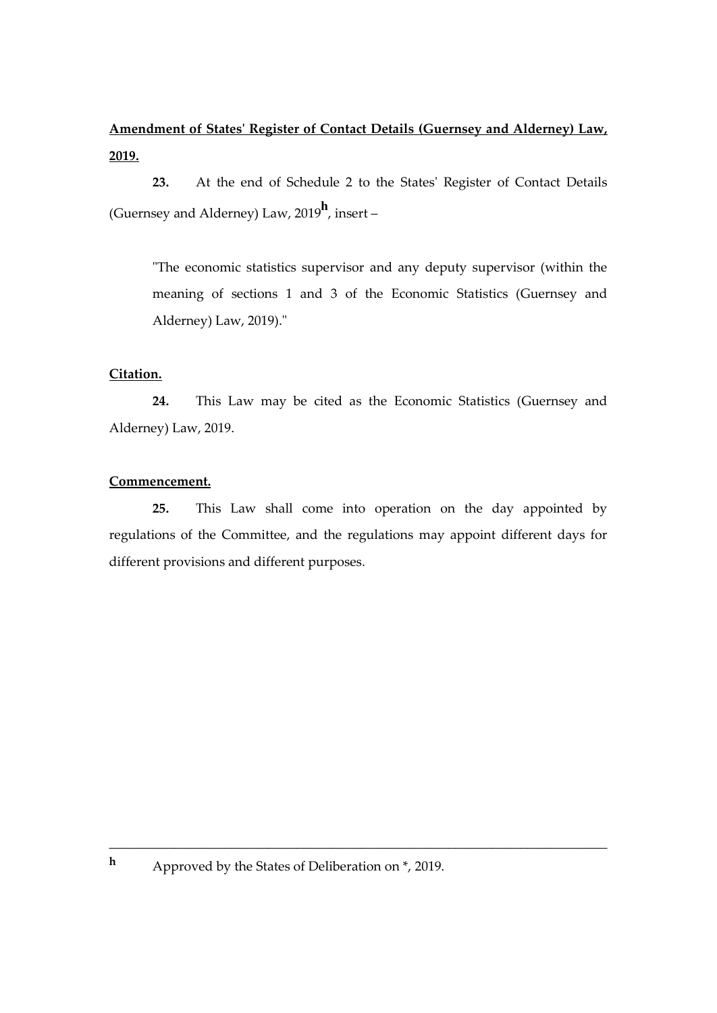## **Amendment of States' Register of Contact Details (Guernsey and Alderney) Law, 2019.**

**23.** At the end of Schedule 2 to the States' Register of Contact Details (Guernsey and Alderney) Law, 2019**<sup>h</sup>** , insert –

"The economic statistics supervisor and any deputy supervisor (within the meaning of sections 1 and 3 of the Economic Statistics (Guernsey and Alderney) Law, 2019)."

## **Citation.**

**24.** This Law may be cited as the Economic Statistics (Guernsey and Alderney) Law, 2019.

## **Commencement.**

**25.** This Law shall come into operation on the day appointed by regulations of the Committee, and the regulations may appoint different days for different provisions and different purposes.

\_\_\_\_\_\_\_\_\_\_\_\_\_\_\_\_\_\_\_\_\_\_\_\_\_\_\_\_\_\_\_\_\_\_\_\_\_\_\_\_\_\_\_\_\_\_\_\_\_\_\_\_\_\_\_\_\_\_\_\_\_\_\_\_\_\_\_\_\_

**<sup>h</sup>** Approved by the States of Deliberation on \*, 2019.